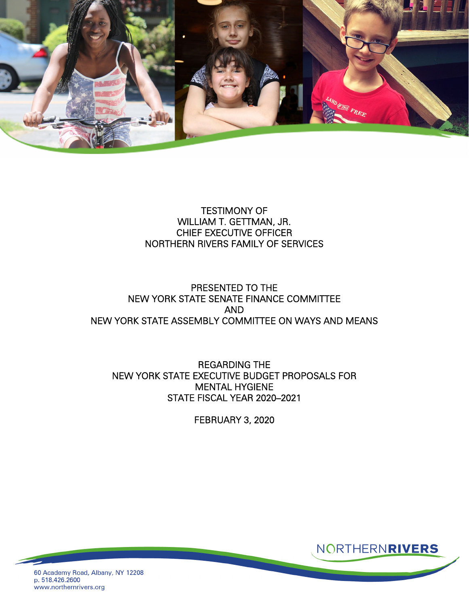

### TESTIMONY OF WILLIAM T. GETTMAN, JR. CHIEF EXECUTIVE OFFICER NORTHERN RIVERS FAMILY OF SERVICES

# PRESENTED TO THE NEW YORK STATE SENATE FINANCE COMMITTEE AND NEW YORK STATE ASSEMBLY COMMITTEE ON WAYS AND MEANS

### REGARDING THE NEW YORK STATE EXECUTIVE BUDGET PROPOSALS FOR MENTAL HYGIENE STATE FISCAL YEAR 2020–2021

FEBRUARY 3, 2020



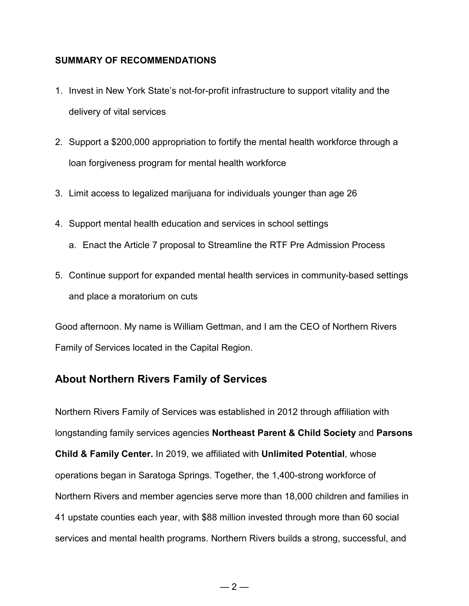### **SUMMARY OF RECOMMENDATIONS**

- 1. Invest in New York State's not-for-profit infrastructure to support vitality and the delivery of vital services
- 2. Support a \$200,000 appropriation to fortify the mental health workforce through a loan forgiveness program for mental health workforce
- 3. Limit access to legalized marijuana for individuals younger than age 26
- 4. Support mental health education and services in school settings
	- a. Enact the Article 7 proposal to Streamline the RTF Pre Admission Process
- 5. Continue support for expanded mental health services in community-based settings and place a moratorium on cuts

Good afternoon. My name is William Gettman, and I am the CEO of Northern Rivers Family of Services located in the Capital Region.

# **About Northern Rivers Family of Services**

Northern Rivers Family of Services was established in 2012 through affiliation with longstanding family services agencies **Northeast Parent & Child Society** and **Parsons Child & Family Center.** In 2019, we affiliated with **Unlimited Potential**, whose operations began in Saratoga Springs. Together, the 1,400-strong workforce of Northern Rivers and member agencies serve more than 18,000 children and families in 41 upstate counties each year, with \$88 million invested through more than 60 social services and mental health programs. Northern Rivers builds a strong, successful, and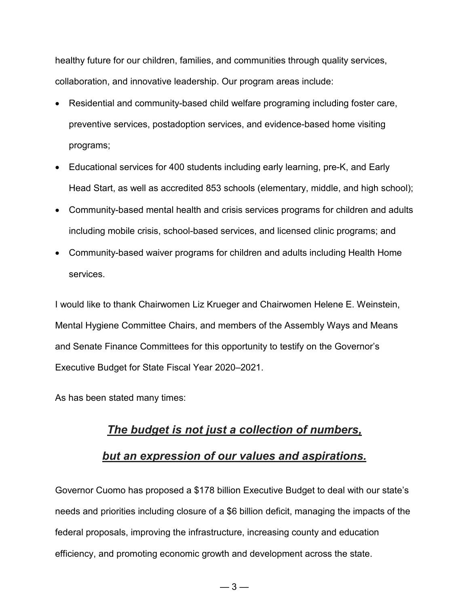healthy future for our children, families, and communities through quality services, collaboration, and innovative leadership. Our program areas include:

- Residential and community-based child welfare programing including foster care, preventive services, postadoption services, and evidence-based home visiting programs;
- Educational services for 400 students including early learning, pre-K, and Early Head Start, as well as accredited 853 schools (elementary, middle, and high school);
- Community-based mental health and crisis services programs for children and adults including mobile crisis, school-based services, and licensed clinic programs; and
- Community-based waiver programs for children and adults including Health Home services.

I would like to thank Chairwomen Liz Krueger and Chairwomen Helene E. Weinstein, Mental Hygiene Committee Chairs, and members of the Assembly Ways and Means and Senate Finance Committees for this opportunity to testify on the Governor's Executive Budget for State Fiscal Year 2020–2021.

As has been stated many times:

# *[The budget is not just a collection of numbers,](https://www.brainyquote.com/quotes/jacob_lew_442942)  [but an expression of our values and aspirations.](https://www.brainyquote.com/quotes/jacob_lew_442942)*

Governor Cuomo has proposed a \$178 billion Executive Budget to deal with our state's needs and priorities including closure of a \$6 billion deficit, managing the impacts of the federal proposals, improving the infrastructure, increasing county and education efficiency, and promoting economic growth and development across the state.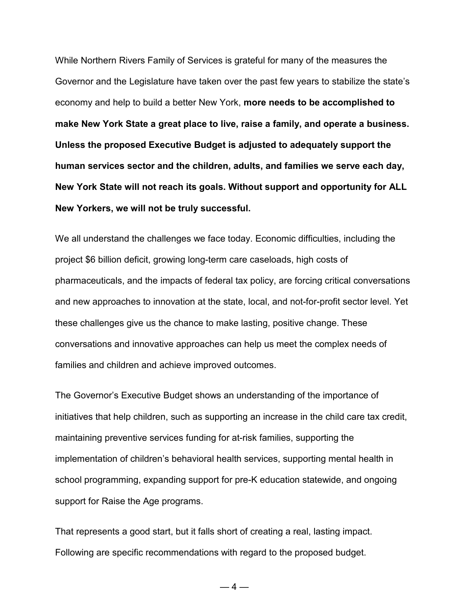While Northern Rivers Family of Services is grateful for many of the measures the Governor and the Legislature have taken over the past few years to stabilize the state's economy and help to build a better New York, **more needs to be accomplished to make New York State a great place to live, raise a family, and operate a business. Unless the proposed Executive Budget is adjusted to adequately support the human services sector and the children, adults, and families we serve each day, New York State will not reach its goals. Without support and opportunity for ALL New Yorkers, we will not be truly successful.**

We all understand the challenges we face today. Economic difficulties, including the project \$6 billion deficit, growing long-term care caseloads, high costs of pharmaceuticals, and the impacts of federal tax policy, are forcing critical conversations and new approaches to innovation at the state, local, and not-for-profit sector level. Yet these challenges give us the chance to make lasting, positive change. These conversations and innovative approaches can help us meet the complex needs of families and children and achieve improved outcomes.

The Governor's Executive Budget shows an understanding of the importance of initiatives that help children, such as supporting an increase in the child care tax credit, maintaining preventive services funding for at-risk families, supporting the implementation of children's behavioral health services, supporting mental health in school programming, expanding support for pre-K education statewide, and ongoing support for Raise the Age programs.

That represents a good start, but it falls short of creating a real, lasting impact. Following are specific recommendations with regard to the proposed budget.

 $-4-$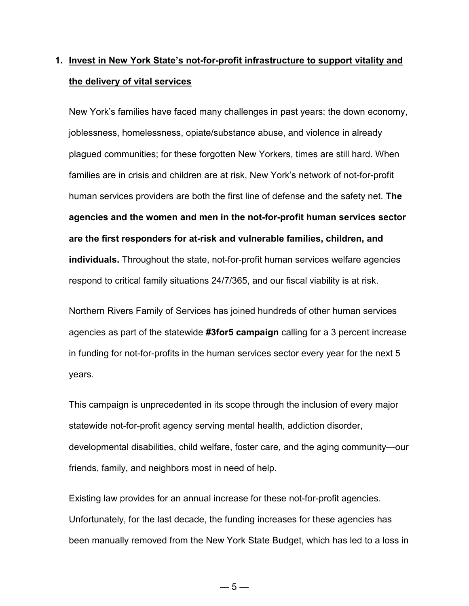# **1. Invest in New York State's not-for-profit infrastructure to support vitality and the delivery of vital services**

New York's families have faced many challenges in past years: the down economy, joblessness, homelessness, opiate/substance abuse, and violence in already plagued communities; for these forgotten New Yorkers, times are still hard. When families are in crisis and children are at risk, New York's network of not-for-profit human services providers are both the first line of defense and the safety net. **The agencies and the women and men in the not-for-profit human services sector are the first responders for at-risk and vulnerable families, children, and individuals.** Throughout the state, not-for-profit human services welfare agencies respond to critical family situations 24/7/365, and our fiscal viability is at risk.

Northern Rivers Family of Services has joined hundreds of other human services agencies as part of the statewide **#3for5 campaign** calling for a 3 percent increase in funding for not-for-profits in the human services sector every year for the next 5 years.

This campaign is unprecedented in its scope through the inclusion of every major statewide not-for-profit agency serving mental health, addiction disorder, developmental disabilities, child welfare, foster care, and the aging community—our friends, family, and neighbors most in need of help.

Existing law provides for an annual increase for these not-for-profit agencies. Unfortunately, for the last decade, the funding increases for these agencies has been manually removed from the New York State Budget, which has led to a loss in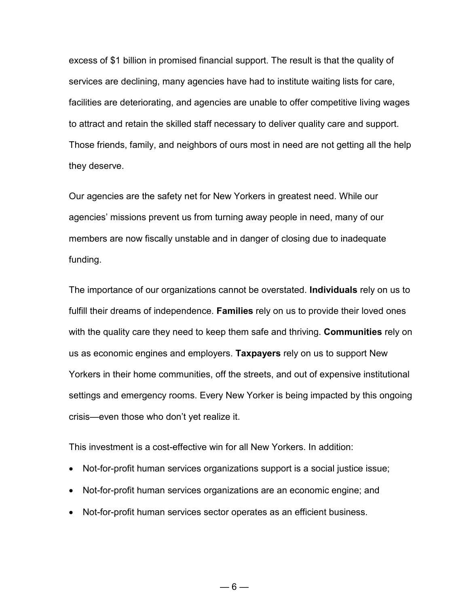excess of \$1 billion in promised financial support. The result is that the quality of services are declining, many agencies have had to institute waiting lists for care, facilities are deteriorating, and agencies are unable to offer competitive living wages to attract and retain the skilled staff necessary to deliver quality care and support. Those friends, family, and neighbors of ours most in need are not getting all the help they deserve.

Our agencies are the safety net for New Yorkers in greatest need. While our agencies' missions prevent us from turning away people in need, many of our members are now fiscally unstable and in danger of closing due to inadequate funding.

The importance of our organizations cannot be overstated. **Individuals** rely on us to fulfill their dreams of independence. **Families** rely on us to provide their loved ones with the quality care they need to keep them safe and thriving. **Communities** rely on us as economic engines and employers. **Taxpayers** rely on us to support New Yorkers in their home communities, off the streets, and out of expensive institutional settings and emergency rooms. Every New Yorker is being impacted by this ongoing crisis—even those who don't yet realize it.

This investment is a cost-effective win for all New Yorkers. In addition:

- Not-for-profit human services organizations support is a social justice issue;
- Not-for-profit human services organizations are an economic engine; and
- Not-for-profit human services sector operates as an efficient business.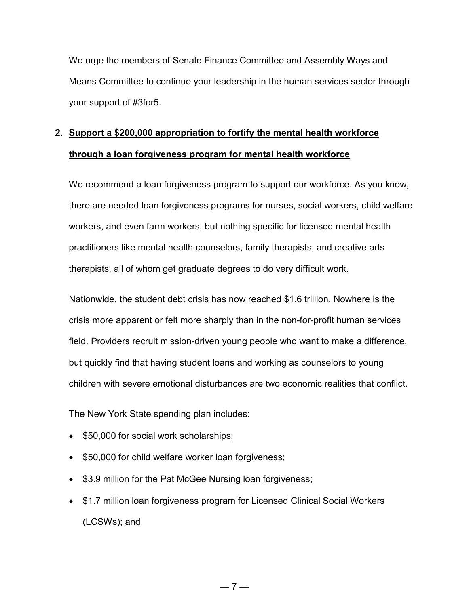We urge the members of Senate Finance Committee and Assembly Ways and Means Committee to continue your leadership in the human services sector through your support of #3for5.

# **2. Support a \$200,000 appropriation to fortify the mental health workforce through a loan forgiveness program for mental health workforce**

We recommend a loan forgiveness program to support our workforce. As you know, there are needed loan forgiveness programs for nurses, social workers, child welfare workers, and even farm workers, but nothing specific for licensed mental health practitioners like mental health counselors, family therapists, and creative arts therapists, all of whom get graduate degrees to do very difficult work.

Nationwide, the student debt crisis has now reached \$1.6 trillion. Nowhere is the crisis more apparent or felt more sharply than in the non-for-profit human services field. Providers recruit mission-driven young people who want to make a difference, but quickly find that having student loans and working as counselors to young children with severe emotional disturbances are two economic realities that conflict.

The New York State spending plan includes:

- \$50,000 for social work scholarships;
- \$50,000 for child welfare worker loan forgiveness;
- \$3.9 million for the Pat McGee Nursing loan forgiveness;
- \$1.7 million loan forgiveness program for Licensed Clinical Social Workers (LCSWs); and

 $-7-$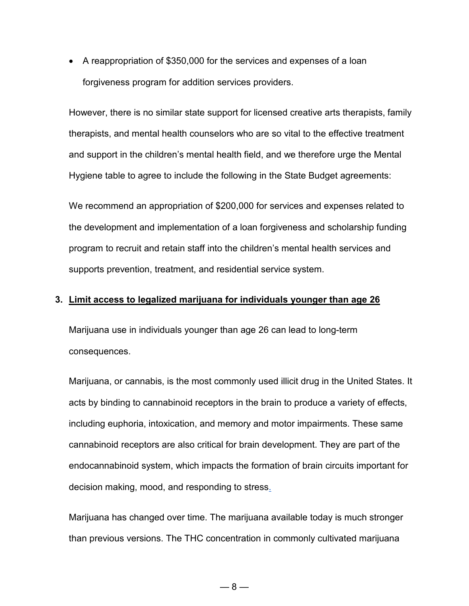• A reappropriation of \$350,000 for the services and expenses of a loan forgiveness program for addition services providers.

However, there is no similar state support for licensed creative arts therapists, family therapists, and mental health counselors who are so vital to the effective treatment and support in the children's mental health field, and we therefore urge the Mental Hygiene table to agree to include the following in the State Budget agreements:

We recommend an appropriation of \$200,000 for services and expenses related to the development and implementation of a loan forgiveness and scholarship funding program to recruit and retain staff into the children's mental health services and supports prevention, treatment, and residential service system.

#### **3. Limit access to legalized marijuana for individuals younger than age 26**

Marijuana use in individuals younger than age 26 can lead to long-term consequences.

Marijuana, or cannabis, is the most commonly used illicit drug in the United States. It acts by binding to cannabinoid receptors in the brain to produce a variety of effects, including euphoria, intoxication, and memory and motor impairments. These same cannabinoid receptors are also critical for brain development. They are part of the endocannabinoid system, which impacts the formation of brain circuits important for decision making, mood, and responding to stres[s.](https://www.hhs.gov/surgeongeneral/reports-and-publications/addiction-and-substance-misuse/advisory-on-marijuana-use-and-developing-brain/index.html#footnote1_exfmlq5)

Marijuana has changed over time. The marijuana available today is much stronger than previous versions. The THC concentration in commonly cultivated marijuana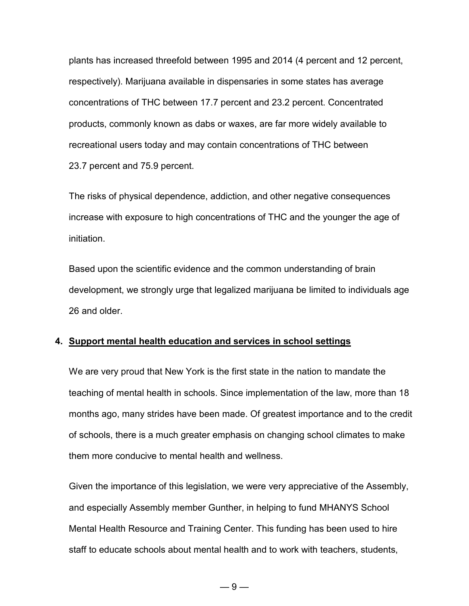plants has increased threefold between 1995 and 2014 (4 percent and 12 percent, respectively). Marijuana available in dispensaries in some states has average concentrations of THC between 17.7 percent and 23.2 percent. Concentrated products, commonly known as dabs or waxes, are far more widely available to recreational users today and may contain concentrations of THC between 23.7 percent and 75.9 percent.

The risks of physical dependence, addiction, and other negative consequences increase with exposure to high concentrations of THC and the younger the age of initiation.

Based upon the scientific evidence and the common understanding of brain development, we strongly urge that legalized marijuana be limited to individuals age 26 and older.

#### **4. Support mental health education and services in school settings**

We are very proud that New York is the first state in the nation to mandate the teaching of mental health in schools. Since implementation of the law, more than 18 months ago, many strides have been made. Of greatest importance and to the credit of schools, there is a much greater emphasis on changing school climates to make them more conducive to mental health and wellness.

Given the importance of this legislation, we were very appreciative of the Assembly, and especially Assembly member Gunther, in helping to fund MHANYS School Mental Health Resource and Training Center. This funding has been used to hire staff to educate schools about mental health and to work with teachers, students,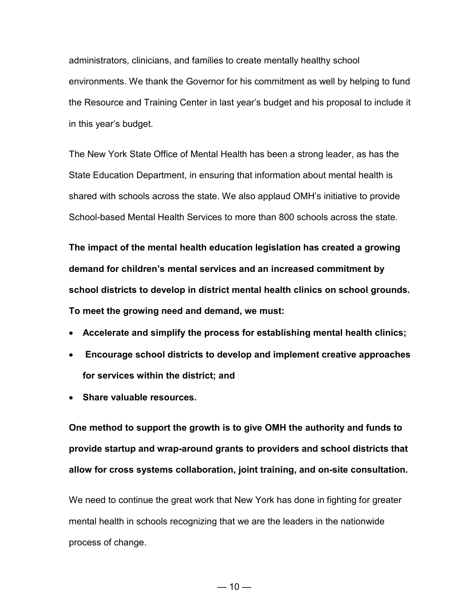administrators, clinicians, and families to create mentally healthy school environments. We thank the Governor for his commitment as well by helping to fund the Resource and Training Center in last year's budget and his proposal to include it in this year's budget.

The New York State Office of Mental Health has been a strong leader, as has the State Education Department, in ensuring that information about mental health is shared with schools across the state. We also applaud OMH's initiative to provide School-based Mental Health Services to more than 800 schools across the state.

**The impact of the mental health education legislation has created a growing demand for children's mental services and an increased commitment by school districts to develop in district mental health clinics on school grounds. To meet the growing need and demand, we must:**

- **Accelerate and simplify the process for establishing mental health clinics;**
- **Encourage school districts to develop and implement creative approaches for services within the district; and**
- **Share valuable resources.**

**One method to support the growth is to give OMH the authority and funds to provide startup and wrap-around grants to providers and school districts that allow for cross systems collaboration, joint training, and on-site consultation.**

We need to continue the great work that New York has done in fighting for greater mental health in schools recognizing that we are the leaders in the nationwide process of change.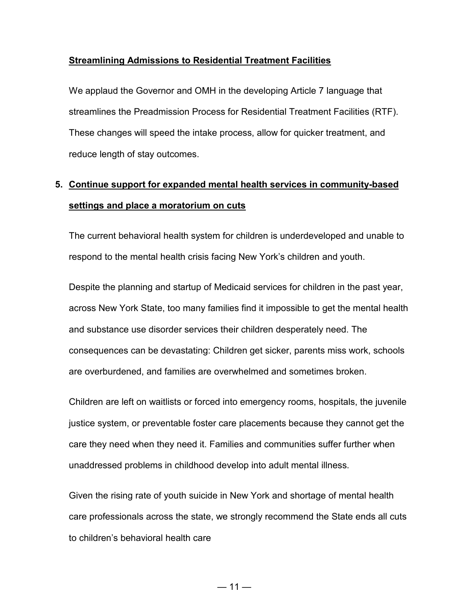### **Streamlining Admissions to Residential Treatment Facilities**

We applaud the Governor and OMH in the developing Article 7 language that streamlines the Preadmission Process for Residential Treatment Facilities (RTF). These changes will speed the intake process, allow for quicker treatment, and reduce length of stay outcomes.

# **5. Continue support for expanded mental health services in community-based settings and place a moratorium on cuts**

The current behavioral health system for children is underdeveloped and unable to respond to the mental health crisis facing New York's children and youth.

Despite the planning and startup of Medicaid services for children in the past year, across New York State, too many families find it impossible to get the mental health and substance use disorder services their children desperately need. The consequences can be devastating: Children get sicker, parents miss work, schools are overburdened, and families are overwhelmed and sometimes broken.

Children are left on waitlists or forced into emergency rooms, hospitals, the juvenile justice system, or preventable foster care placements because they cannot get the care they need when they need it. Families and communities suffer further when unaddressed problems in childhood develop into adult mental illness.

Given the rising rate of youth suicide in New York and shortage of mental health care professionals across the state, we strongly recommend the State ends all cuts to children's behavioral health care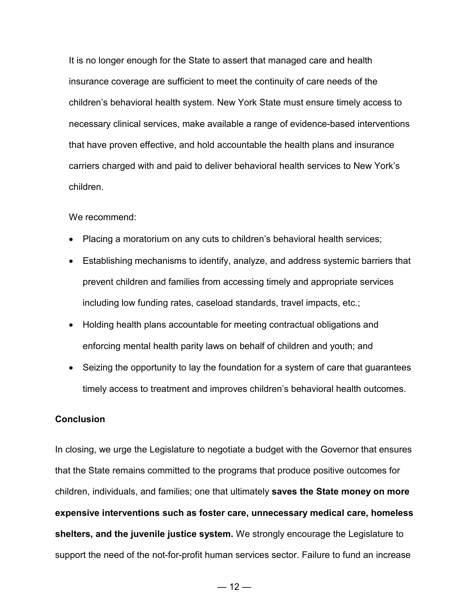It is no longer enough for the State to assert that managed care and health insurance coverage are sufficient to meet the continuity of care needs of the children's behavioral health system. New York State must ensure timely access to necessary clinical services, make available a range of evidence-based interventions that have proven effective, and hold accountable the health plans and insurance carriers charged with and paid to deliver behavioral health services to New York's children.

#### We recommend:

- Placing a moratorium on any cuts to children's behavioral health services;
- Establishing mechanisms to identify, analyze, and address systemic barriers that prevent children and families from accessing timely and appropriate services including low funding rates, caseload standards, travel impacts, etc.;
- Holding health plans accountable for meeting contractual obligations and enforcing mental health parity laws on behalf of children and youth; and
- Seizing the opportunity to lay the foundation for a system of care that guarantees timely access to treatment and improves children's behavioral health outcomes.

### **Conclusion**

In closing, we urge the Legislature to negotiate a budget with the Governor that ensures that the State remains committed to the programs that produce positive outcomes for children, individuals, and families; one that ultimately **saves the State money on more expensive interventions such as foster care, unnecessary medical care, homeless shelters, and the juvenile justice system.** We strongly encourage the Legislature to support the need of the not-for-profit human services sector. Failure to fund an increase